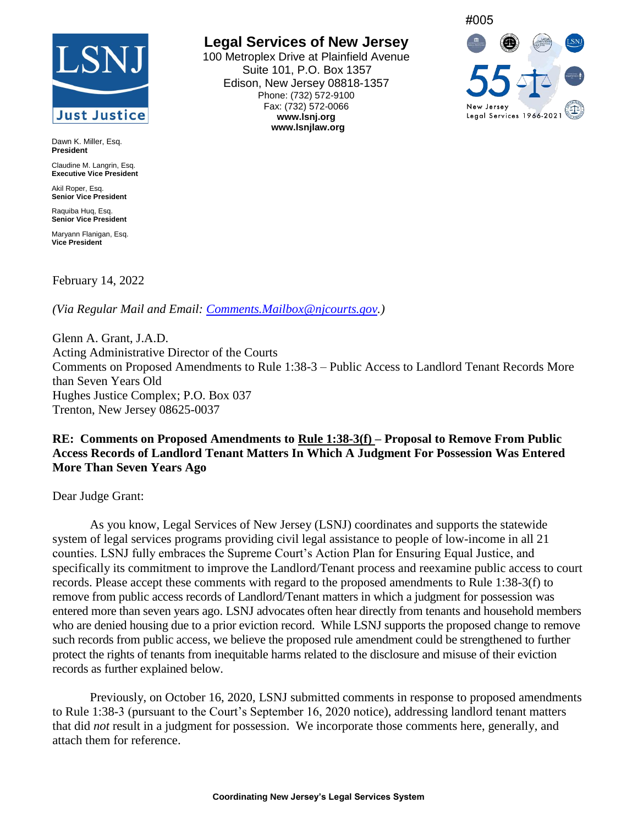# **Just Justice**

Dawn K. Miller, Esq. **President**

Claudine M. Langrin, Esq. **Executive Vice President**

Akil Roper, Esg. **Senior Vice President**

Raquiba Huq, Esq. **Senior Vice President**

Maryann Flanigan, Esq. **Vice President**

February 14, 2022

*(Via Regular Mail and Email: [Comments.Mailbox@njcourts.gov.](mailto:Comments.Mailbox@njcourts.gov))*

Glenn A. Grant, J.A.D. Acting Administrative Director of the Courts Comments on Proposed Amendments to Rule 1:38-3 – Public Access to Landlord Tenant Records More than Seven Years Old Hughes Justice Complex; P.O. Box 037 Trenton, New Jersey 08625-0037

#### **RE: Comments on Proposed Amendments to Rule 1:38-3(f) – Proposal to Remove From Public Access Records of Landlord Tenant Matters In Which A Judgment For Possession Was Entered More Than Seven Years Ago**

Dear Judge Grant:

As you know, Legal Services of New Jersey (LSNJ) coordinates and supports the statewide system of legal services programs providing civil legal assistance to people of low-income in all 21 counties. LSNJ fully embraces the Supreme Court's Action Plan for Ensuring Equal Justice, and specifically its commitment to improve the Landlord/Tenant process and reexamine public access to court records. Please accept these comments with regard to the proposed amendments to Rule 1:38-3(f) to remove from public access records of Landlord/Tenant matters in which a judgment for possession was entered more than seven years ago. LSNJ advocates often hear directly from tenants and household members who are denied housing due to a prior eviction record. While LSNJ supports the proposed change to remove such records from public access, we believe the proposed rule amendment could be strengthened to further protect the rights of tenants from inequitable harms related to the disclosure and misuse of their eviction records as further explained below.

Previously, on October 16, 2020, LSNJ submitted comments in response to proposed amendments to Rule 1:38-3 (pursuant to the Court's September 16, 2020 notice), addressing landlord tenant matters that did *not* result in a judgment for possession. We incorporate those comments here, generally, and attach them for reference.

# **Legal Services of New Jersey**

100 Metroplex Drive at Plainfield Avenue Suite 101, P.O. Box 1357 Edison, New Jersey 08818-1357 Phone: (732) 572-9100 Fax: (732) 572-0066 **www.lsnj.org www.lsnjlaw.org**

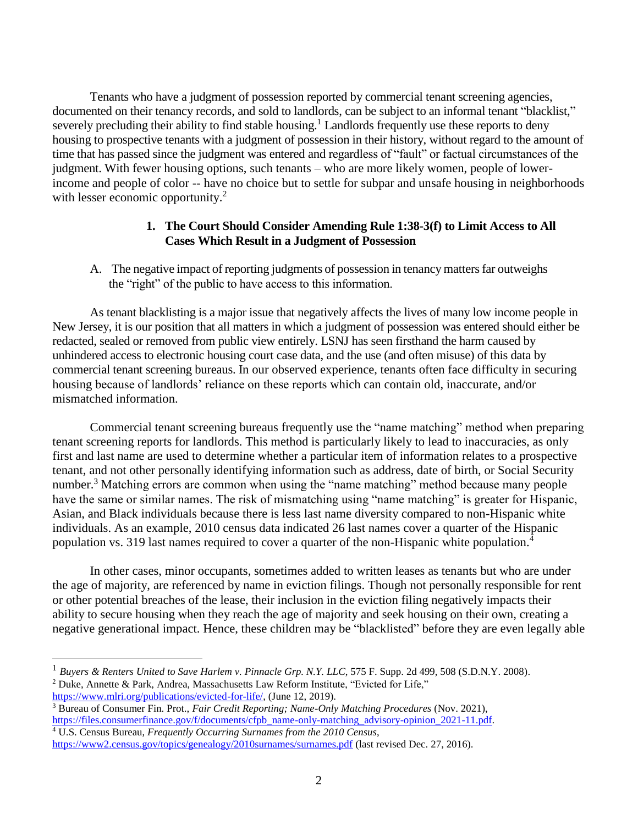Tenants who have a judgment of possession reported by commercial tenant screening agencies, documented on their tenancy records, and sold to landlords, can be subject to an informal tenant "blacklist," severely precluding their ability to find stable housing.<sup>1</sup> Landlords frequently use these reports to deny housing to prospective tenants with a judgment of possession in their history, without regard to the amount of time that has passed since the judgment was entered and regardless of "fault" or factual circumstances of the judgment. With fewer housing options, such tenants – who are more likely women, people of lowerincome and people of color -- have no choice but to settle for subpar and unsafe housing in neighborhoods with lesser economic opportunity.<sup>2</sup>

#### **1. The Court Should Consider Amending Rule 1:38-3(f) to Limit Access to All Cases Which Result in a Judgment of Possession**

A. The negative impact of reporting judgments of possession in tenancy matters far outweighs the "right" of the public to have access to this information.

As tenant blacklisting is a major issue that negatively affects the lives of many low income people in New Jersey, it is our position that all matters in which a judgment of possession was entered should either be redacted, sealed or removed from public view entirely. LSNJ has seen firsthand the harm caused by unhindered access to electronic housing court case data, and the use (and often misuse) of this data by commercial tenant screening bureaus. In our observed experience, tenants often face difficulty in securing housing because of landlords' reliance on these reports which can contain old, inaccurate, and/or mismatched information.

Commercial tenant screening bureaus frequently use the "name matching" method when preparing tenant screening reports for landlords. This method is particularly likely to lead to inaccuracies, as only first and last name are used to determine whether a particular item of information relates to a prospective tenant, and not other personally identifying information such as address, date of birth, or Social Security number.<sup>3</sup> Matching errors are common when using the "name matching" method because many people have the same or similar names. The risk of mismatching using "name matching" is greater for Hispanic, Asian, and Black individuals because there is less last name diversity compared to non-Hispanic white individuals. As an example, 2010 census data indicated 26 last names cover a quarter of the Hispanic population vs. 319 last names required to cover a quarter of the non-Hispanic white population.<sup>4</sup>

In other cases, minor occupants, sometimes added to written leases as tenants but who are under the age of majority, are referenced by name in eviction filings. Though not personally responsible for rent or other potential breaches of the lease, their inclusion in the eviction filing negatively impacts their ability to secure housing when they reach the age of majority and seek housing on their own, creating a negative generational impact. Hence, these children may be "blacklisted" before they are even legally able

<sup>1</sup> *Buyers & Renters United to Save Harlem v. Pinnacle Grp. N.Y. LLC*, 575 F. Supp. 2d 499, 508 (S.D.N.Y. 2008). <sup>2</sup> Duke, Annette & Park, Andrea, Massachusetts Law Reform Institute, "Evicted for Life," [https://www.mlri.org/publications/evicted-for-life/,](https://www.mlri.org/publications/evicted-for-life/) (June 12, 2019).

<sup>3</sup> Bureau of Consumer Fin. Prot., *Fair Credit Reporting; Name-Only Matching Procedures* (Nov. 2021), [https://files.consumerfinance.gov/f/documents/cfpb\\_name-only-matching\\_advisory-opinion\\_2021-11.pdf.](https://files.consumerfinance.gov/f/documents/cfpb_name-only-matching_advisory-opinion_2021-11.pdf)

<sup>4</sup> U.S. Census Bureau, *Frequently Occurring Surnames from the 2010 Census*, <https://www2.census.gov/topics/genealogy/2010surnames/surnames.pdf> (last revised Dec. 27, 2016).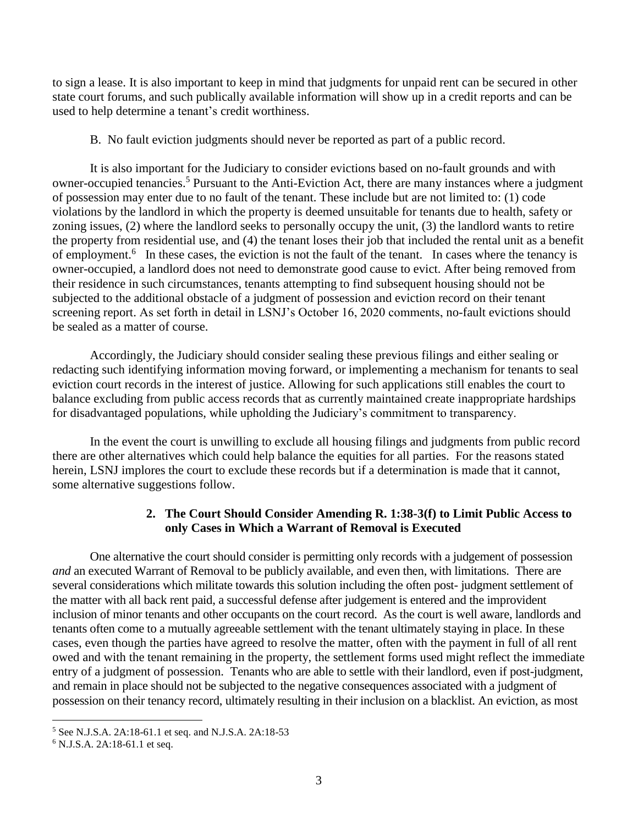to sign a lease. It is also important to keep in mind that judgments for unpaid rent can be secured in other state court forums, and such publically available information will show up in a credit reports and can be used to help determine a tenant's credit worthiness.

B. No fault eviction judgments should never be reported as part of a public record.

It is also important for the Judiciary to consider evictions based on no-fault grounds and with owner-occupied tenancies.<sup>5</sup> Pursuant to the Anti-Eviction Act, there are many instances where a judgment of possession may enter due to no fault of the tenant. These include but are not limited to: (1) code violations by the landlord in which the property is deemed unsuitable for tenants due to health, safety or zoning issues, (2) where the landlord seeks to personally occupy the unit, (3) the landlord wants to retire the property from residential use, and (4) the tenant loses their job that included the rental unit as a benefit of employment.<sup>6</sup> In these cases, the eviction is not the fault of the tenant. In cases where the tenancy is owner-occupied, a landlord does not need to demonstrate good cause to evict. After being removed from their residence in such circumstances, tenants attempting to find subsequent housing should not be subjected to the additional obstacle of a judgment of possession and eviction record on their tenant screening report. As set forth in detail in LSNJ's October 16, 2020 comments, no-fault evictions should be sealed as a matter of course.

Accordingly, the Judiciary should consider sealing these previous filings and either sealing or redacting such identifying information moving forward, or implementing a mechanism for tenants to seal eviction court records in the interest of justice. Allowing for such applications still enables the court to balance excluding from public access records that as currently maintained create inappropriate hardships for disadvantaged populations, while upholding the Judiciary's commitment to transparency.

In the event the court is unwilling to exclude all housing filings and judgments from public record there are other alternatives which could help balance the equities for all parties. For the reasons stated herein, LSNJ implores the court to exclude these records but if a determination is made that it cannot, some alternative suggestions follow.

#### **2. The Court Should Consider Amending R. 1:38-3(f) to Limit Public Access to only Cases in Which a Warrant of Removal is Executed**

One alternative the court should consider is permitting only records with a judgement of possession *and* an executed Warrant of Removal to be publicly available, and even then, with limitations. There are several considerations which militate towards this solution including the often post- judgment settlement of the matter with all back rent paid, a successful defense after judgement is entered and the improvident inclusion of minor tenants and other occupants on the court record. As the court is well aware, landlords and tenants often come to a mutually agreeable settlement with the tenant ultimately staying in place. In these cases, even though the parties have agreed to resolve the matter, often with the payment in full of all rent owed and with the tenant remaining in the property, the settlement forms used might reflect the immediate entry of a judgment of possession. Tenants who are able to settle with their landlord, even if post-judgment, and remain in place should not be subjected to the negative consequences associated with a judgment of possession on their tenancy record, ultimately resulting in their inclusion on a blacklist. An eviction, as most

<sup>5</sup> See N.J.S.A. 2A:18-61.1 et seq. and N.J.S.A. 2A:18-53

<sup>6</sup> N.J.S.A. 2A:18-61.1 et seq.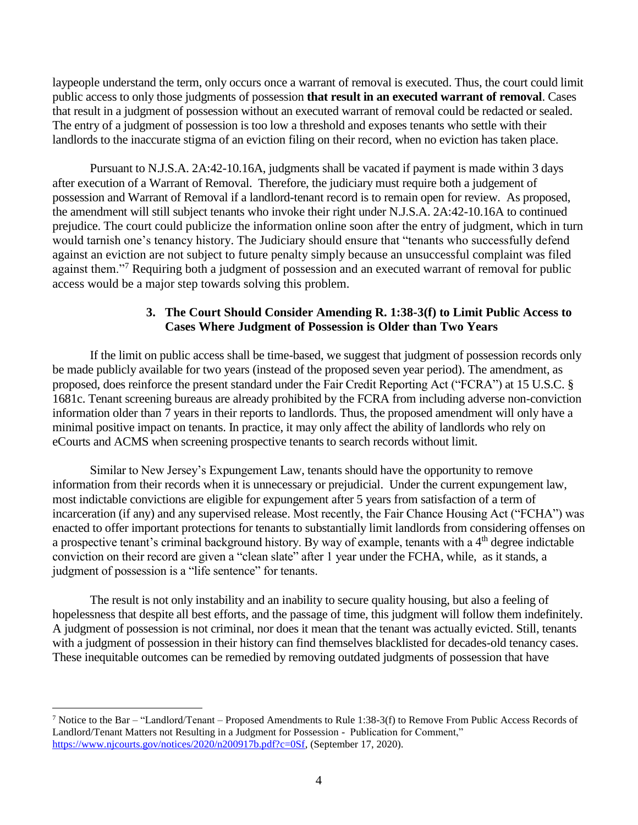laypeople understand the term, only occurs once a warrant of removal is executed. Thus, the court could limit public access to only those judgments of possession **that result in an executed warrant of removal**. Cases that result in a judgment of possession without an executed warrant of removal could be redacted or sealed. The entry of a judgment of possession is too low a threshold and exposes tenants who settle with their landlords to the inaccurate stigma of an eviction filing on their record, when no eviction has taken place.

Pursuant to N.J.S.A. 2A:42-10.16A, judgments shall be vacated if payment is made within 3 days after execution of a Warrant of Removal. Therefore, the judiciary must require both a judgement of possession and Warrant of Removal if a landlord-tenant record is to remain open for review. As proposed, the amendment will still subject tenants who invoke their right under N.J.S.A. 2A:42-10.16A to continued prejudice. The court could publicize the information online soon after the entry of judgment, which in turn would tarnish one's tenancy history. The Judiciary should ensure that "tenants who successfully defend against an eviction are not subject to future penalty simply because an unsuccessful complaint was filed against them."<sup>7</sup> Requiring both a judgment of possession and an executed warrant of removal for public access would be a major step towards solving this problem.

#### **3. The Court Should Consider Amending R. 1:38-3(f) to Limit Public Access to Cases Where Judgment of Possession is Older than Two Years**

If the limit on public access shall be time-based, we suggest that judgment of possession records only be made publicly available for two years (instead of the proposed seven year period). The amendment, as proposed, does reinforce the present standard under the Fair Credit Reporting Act ("FCRA") at 15 U.S.C. § 1681c. Tenant screening bureaus are already prohibited by the FCRA from including adverse non-conviction information older than 7 years in their reports to landlords. Thus, the proposed amendment will only have a minimal positive impact on tenants. In practice, it may only affect the ability of landlords who rely on eCourts and ACMS when screening prospective tenants to search records without limit.

Similar to New Jersey's Expungement Law, tenants should have the opportunity to remove information from their records when it is unnecessary or prejudicial. Under the current expungement law, most indictable convictions are eligible for expungement after 5 years from satisfaction of a term of incarceration (if any) and any supervised release. Most recently, the Fair Chance Housing Act ("FCHA") was enacted to offer important protections for tenants to substantially limit landlords from considering offenses on a prospective tenant's criminal background history. By way of example, tenants with a 4<sup>th</sup> degree indictable conviction on their record are given a "clean slate" after 1 year under the FCHA, while, as it stands, a judgment of possession is a "life sentence" for tenants.

The result is not only instability and an inability to secure quality housing, but also a feeling of hopelessness that despite all best efforts, and the passage of time, this judgment will follow them indefinitely. A judgment of possession is not criminal, nor does it mean that the tenant was actually evicted. Still, tenants with a judgment of possession in their history can find themselves blacklisted for decades-old tenancy cases. These inequitable outcomes can be remedied by removing outdated judgments of possession that have

<sup>7</sup> Notice to the Bar – "Landlord/Tenant – Proposed Amendments to Rule 1:38-3(f) to Remove From Public Access Records of Landlord/Tenant Matters not Resulting in a Judgment for Possession - Publication for Comment," [https://www.njcourts.gov/notices/2020/n200917b.pdf?c=0Sf,](https://www.njcourts.gov/notices/2020/n200917b.pdf?c=0Sf) (September 17, 2020).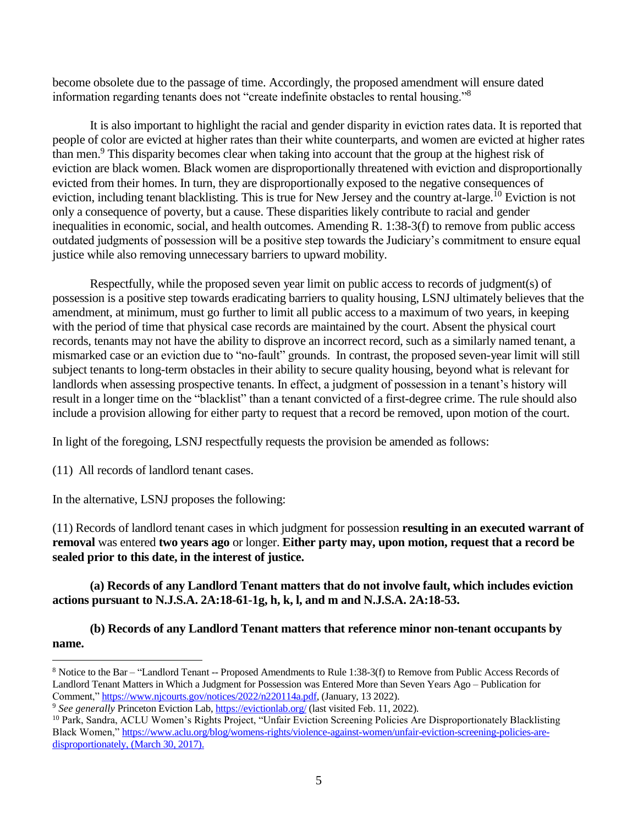become obsolete due to the passage of time. Accordingly, the proposed amendment will ensure dated information regarding tenants does not "create indefinite obstacles to rental housing."<sup>8</sup>

It is also important to highlight the racial and gender disparity in eviction rates data. It is reported that people of color are evicted at higher rates than their white counterparts, and women are evicted at higher rates than men.<sup>9</sup> This disparity becomes clear when taking into account that the group at the highest risk of eviction are black women. Black women are disproportionally threatened with eviction and disproportionally evicted from their homes. In turn, they are disproportionally exposed to the negative consequences of eviction, including tenant blacklisting. This is true for New Jersey and the country at-large.<sup>10</sup> Eviction is not only a consequence of poverty, but a cause. These disparities likely contribute to racial and gender inequalities in economic, social, and health outcomes. Amending R. 1:38-3(f) to remove from public access outdated judgments of possession will be a positive step towards the Judiciary's commitment to ensure equal justice while also removing unnecessary barriers to upward mobility.

Respectfully, while the proposed seven year limit on public access to records of judgment(s) of possession is a positive step towards eradicating barriers to quality housing, LSNJ ultimately believes that the amendment, at minimum, must go further to limit all public access to a maximum of two years, in keeping with the period of time that physical case records are maintained by the court. Absent the physical court records, tenants may not have the ability to disprove an incorrect record, such as a similarly named tenant, a mismarked case or an eviction due to "no-fault" grounds. In contrast, the proposed seven-year limit will still subject tenants to long-term obstacles in their ability to secure quality housing, beyond what is relevant for landlords when assessing prospective tenants. In effect, a judgment of possession in a tenant's history will result in a longer time on the "blacklist" than a tenant convicted of a first-degree crime. The rule should also include a provision allowing for either party to request that a record be removed, upon motion of the court.

In light of the foregoing, LSNJ respectfully requests the provision be amended as follows:

(11) All records of landlord tenant cases.

 $\overline{a}$ 

In the alternative, LSNJ proposes the following:

(11) Records of landlord tenant cases in which judgment for possession **resulting in an executed warrant of removal** was entered **two years ago** or longer. **Either party may, upon motion, request that a record be sealed prior to this date, in the interest of justice.**

**(a) Records of any Landlord Tenant matters that do not involve fault, which includes eviction actions pursuant to N.J.S.A. 2A:18-61-1g, h, k, l, and m and N.J.S.A. 2A:18-53.**

**(b) Records of any Landlord Tenant matters that reference minor non-tenant occupants by name.**

<sup>8</sup> Notice to the Bar – "Landlord Tenant -- Proposed Amendments to Rule 1:38-3(f) to Remove from Public Access Records of Landlord Tenant Matters in Which a Judgment for Possession was Entered More than Seven Years Ago – Publication for Comment," [https://www.njcourts.gov/notices/2022/n220114a.pdf,](https://www.njcourts.gov/notices/2022/n220114a.pdf) (January, 13 2022).

<sup>9</sup> *See generally* Princeton Eviction Lab,<https://evictionlab.org/> (last visited Feb. 11, 2022).

<sup>10</sup> Park, Sandra, ACLU Women's Rights Project, "Unfair Eviction Screening Policies Are Disproportionately Blacklisting Black Women," [https://www.aclu.org/blog/womens-rights/violence-against-women/unfair-eviction-screening-policies-are](https://www.aclu.org/blog/womens-rights/violence-against-women/unfair-eviction-screening-policies-are-disproportionately)[disproportionately,](https://www.aclu.org/blog/womens-rights/violence-against-women/unfair-eviction-screening-policies-are-disproportionately) (March 30, 2017).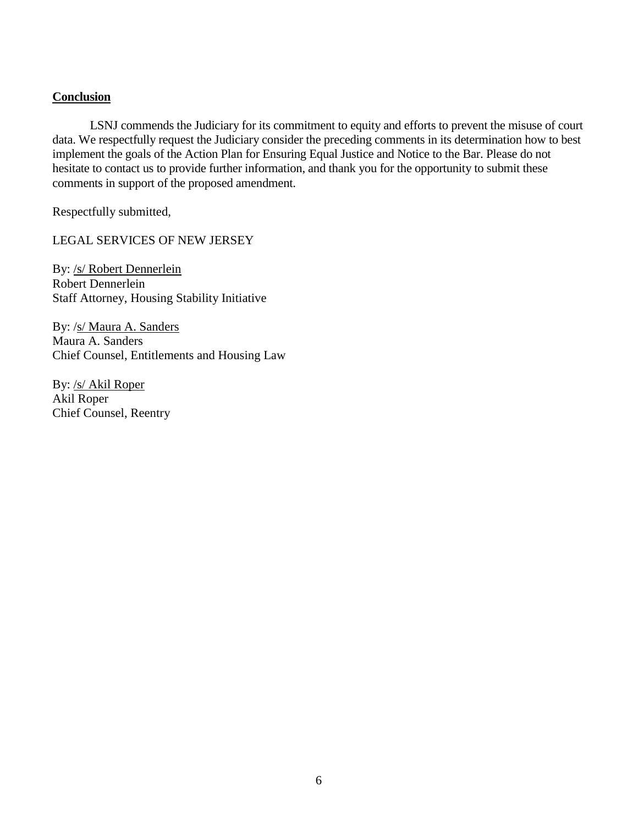#### **Conclusion**

LSNJ commends the Judiciary for its commitment to equity and efforts to prevent the misuse of court data. We respectfully request the Judiciary consider the preceding comments in its determination how to best implement the goals of the Action Plan for Ensuring Equal Justice and Notice to the Bar. Please do not hesitate to contact us to provide further information, and thank you for the opportunity to submit these comments in support of the proposed amendment.

Respectfully submitted,

LEGAL SERVICES OF NEW JERSEY

By: /s/ Robert Dennerlein Robert Dennerlein Staff Attorney, Housing Stability Initiative

By: /s/ Maura A. Sanders Maura A. Sanders Chief Counsel, Entitlements and Housing Law

By: /s/ Akil Roper Akil Roper Chief Counsel, Reentry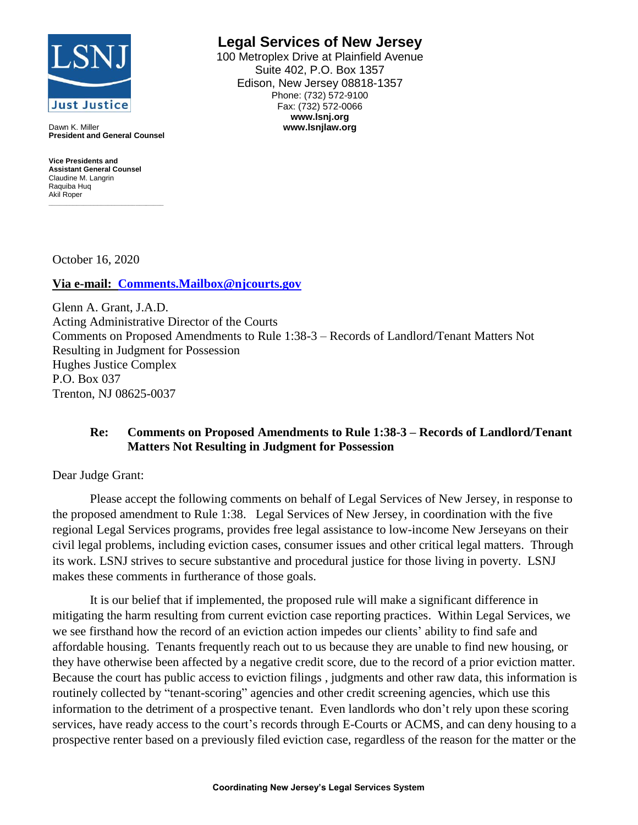

Dawn K. Miller **President and General Counsel**

**Vice Presidents and Assistant General Counsel** Claudine M. Langrin Raquiba Huq Akil Roper **\_\_\_\_\_\_\_\_\_\_\_\_\_\_\_\_\_\_\_\_\_\_\_\_\_\_\_\_\_\_\_\_\_** **Legal Services of New Jersey**

100 Metroplex Drive at Plainfield Avenue Suite 402, P.O. Box 1357 Edison, New Jersey 08818-1357 Phone: (732) 572-9100 Fax: (732) 572-0066 **www.lsnj.org www.lsnjlaw.org**

October 16, 2020

**Via e-mail: [Comments.Mailbox@njcourts.gov](mailto:Comments.Mailbox@njcourts.gov)**

Glenn A. Grant, J.A.D. Acting Administrative Director of the Courts Comments on Proposed Amendments to Rule 1:38-3 – Records of Landlord/Tenant Matters Not Resulting in Judgment for Possession Hughes Justice Complex P.O. Box 037 Trenton, NJ 08625-0037

#### **Re: Comments on Proposed Amendments to Rule 1:38-3 – Records of Landlord/Tenant Matters Not Resulting in Judgment for Possession**

Dear Judge Grant:

Please accept the following comments on behalf of Legal Services of New Jersey, in response to the proposed amendment to Rule 1:38. Legal Services of New Jersey, in coordination with the five regional Legal Services programs, provides free legal assistance to low-income New Jerseyans on their civil legal problems, including eviction cases, consumer issues and other critical legal matters. Through its work. LSNJ strives to secure substantive and procedural justice for those living in poverty. LSNJ makes these comments in furtherance of those goals.

It is our belief that if implemented, the proposed rule will make a significant difference in mitigating the harm resulting from current eviction case reporting practices. Within Legal Services, we we see firsthand how the record of an eviction action impedes our clients' ability to find safe and affordable housing. Tenants frequently reach out to us because they are unable to find new housing, or they have otherwise been affected by a negative credit score, due to the record of a prior eviction matter. Because the court has public access to eviction filings , judgments and other raw data, this information is routinely collected by "tenant-scoring" agencies and other credit screening agencies, which use this information to the detriment of a prospective tenant. Even landlords who don't rely upon these scoring services, have ready access to the court's records through E-Courts or ACMS, and can deny housing to a prospective renter based on a previously filed eviction case, regardless of the reason for the matter or the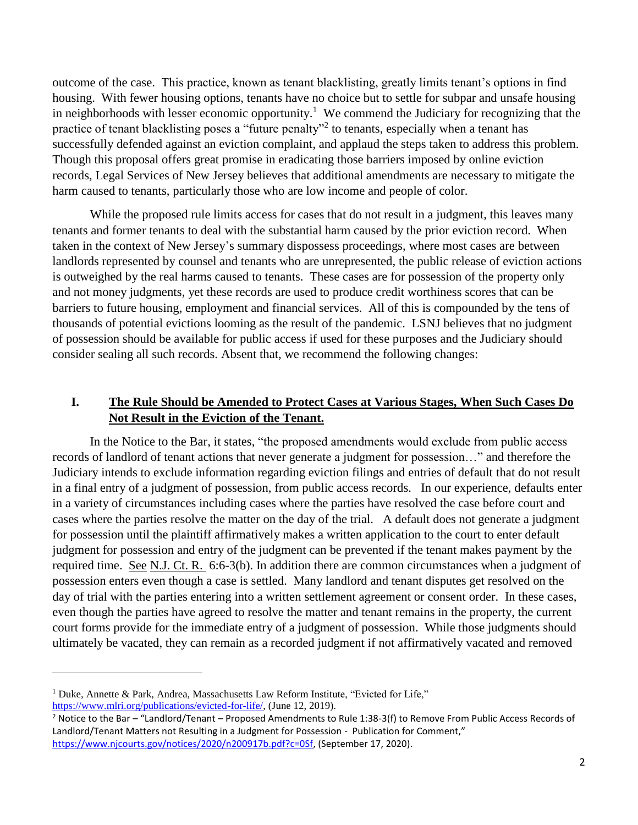outcome of the case. This practice, known as tenant blacklisting, greatly limits tenant's options in find housing. With fewer housing options, tenants have no choice but to settle for subpar and unsafe housing in neighborhoods with lesser economic opportunity.<sup>1</sup> We commend the Judiciary for recognizing that the practice of tenant blacklisting poses a "future penalty"<sup>2</sup> to tenants, especially when a tenant has successfully defended against an eviction complaint, and applaud the steps taken to address this problem. Though this proposal offers great promise in eradicating those barriers imposed by online eviction records, Legal Services of New Jersey believes that additional amendments are necessary to mitigate the harm caused to tenants, particularly those who are low income and people of color.

While the proposed rule limits access for cases that do not result in a judgment, this leaves many tenants and former tenants to deal with the substantial harm caused by the prior eviction record. When taken in the context of New Jersey's summary dispossess proceedings, where most cases are between landlords represented by counsel and tenants who are unrepresented, the public release of eviction actions is outweighed by the real harms caused to tenants. These cases are for possession of the property only and not money judgments, yet these records are used to produce credit worthiness scores that can be barriers to future housing, employment and financial services. All of this is compounded by the tens of thousands of potential evictions looming as the result of the pandemic. LSNJ believes that no judgment of possession should be available for public access if used for these purposes and the Judiciary should consider sealing all such records. Absent that, we recommend the following changes:

#### **I. The Rule Should be Amended to Protect Cases at Various Stages, When Such Cases Do Not Result in the Eviction of the Tenant.**

In the Notice to the Bar, it states, "the proposed amendments would exclude from public access records of landlord of tenant actions that never generate a judgment for possession…" and therefore the Judiciary intends to exclude information regarding eviction filings and entries of default that do not result in a final entry of a judgment of possession, from public access records. In our experience, defaults enter in a variety of circumstances including cases where the parties have resolved the case before court and cases where the parties resolve the matter on the day of the trial. A default does not generate a judgment for possession until the plaintiff affirmatively makes a written application to the court to enter default judgment for possession and entry of the judgment can be prevented if the tenant makes payment by the required time. See N.J. Ct. R. 6:6-3(b). In addition there are common circumstances when a judgment of possession enters even though a case is settled. Many landlord and tenant disputes get resolved on the day of trial with the parties entering into a written settlement agreement or consent order. In these cases, even though the parties have agreed to resolve the matter and tenant remains in the property, the current court forms provide for the immediate entry of a judgment of possession. While those judgments should ultimately be vacated, they can remain as a recorded judgment if not affirmatively vacated and removed

<sup>&</sup>lt;sup>1</sup> Duke, Annette & Park, Andrea, Massachusetts Law Reform Institute, "Evicted for Life," [https://www.mlri.org/publications/evicted-for-life/,](https://www.mlri.org/publications/evicted-for-life/) (June 12, 2019).

<sup>2</sup> Notice to the Bar – "Landlord/Tenant – Proposed Amendments to Rule 1:38-3(f) to Remove From Public Access Records of Landlord/Tenant Matters not Resulting in a Judgment for Possession - Publication for Comment," [https://www.njcourts.gov/notices/2020/n200917b.pdf?c=0Sf,](https://www.njcourts.gov/notices/2020/n200917b.pdf?c=0Sf) (September 17, 2020).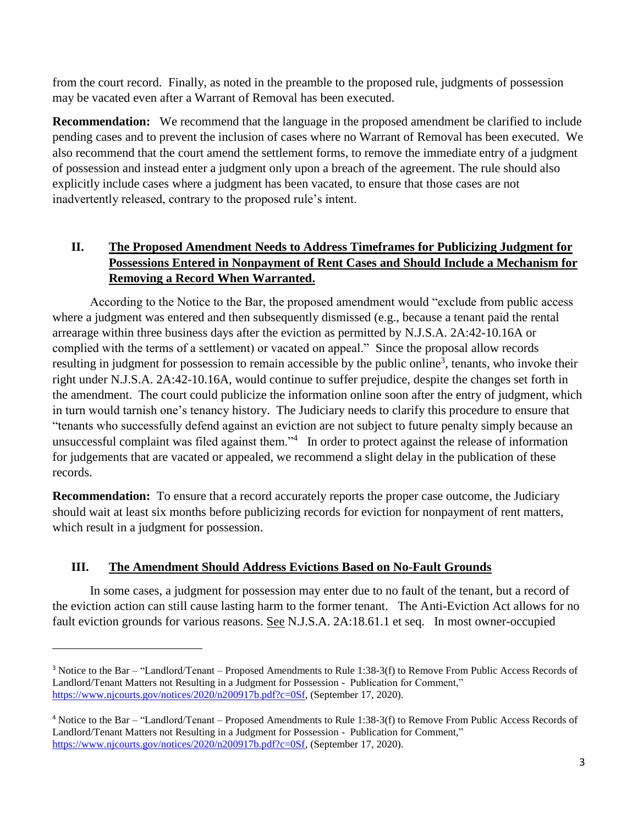from the court record. Finally, as noted in the preamble to the proposed rule, judgments of possession may be vacated even after a Warrant of Removal has been executed.

**Recommendation:** We recommend that the language in the proposed amendment be clarified to include pending cases and to prevent the inclusion of cases where no Warrant of Removal has been executed. We also recommend that the court amend the settlement forms, to remove the immediate entry of a judgment of possession and instead enter a judgment only upon a breach of the agreement. The rule should also explicitly include cases where a judgment has been vacated, to ensure that those cases are not inadvertently released, contrary to the proposed rule's intent.

# **II. The Proposed Amendment Needs to Address Timeframes for Publicizing Judgment for Possessions Entered in Nonpayment of Rent Cases and Should Include a Mechanism for Removing a Record When Warranted.**

According to the Notice to the Bar, the proposed amendment would "exclude from public access where a judgment was entered and then subsequently dismissed (e.g., because a tenant paid the rental arrearage within three business days after the eviction as permitted by N.J.S.A. 2A:42-10.16A or complied with the terms of a settlement) or vacated on appeal." Since the proposal allow records resulting in judgment for possession to remain accessible by the public online<sup>3</sup>, tenants, who invoke their right under N.J.S.A. 2A:42-10.16A, would continue to suffer prejudice, despite the changes set forth in the amendment. The court could publicize the information online soon after the entry of judgment, which in turn would tarnish one's tenancy history. The Judiciary needs to clarify this procedure to ensure that "tenants who successfully defend against an eviction are not subject to future penalty simply because an unsuccessful complaint was filed against them. $"^4$  In order to protect against the release of information for judgements that are vacated or appealed, we recommend a slight delay in the publication of these records.

**Recommendation:** To ensure that a record accurately reports the proper case outcome, the Judiciary should wait at least six months before publicizing records for eviction for nonpayment of rent matters, which result in a judgment for possession.

# **III. The Amendment Should Address Evictions Based on No-Fault Grounds**

 $\overline{a}$ 

In some cases, a judgment for possession may enter due to no fault of the tenant, but a record of the eviction action can still cause lasting harm to the former tenant. The Anti-Eviction Act allows for no fault eviction grounds for various reasons. See N.J.S.A. 2A:18.61.1 et seq. In most owner-occupied

<sup>3</sup> Notice to the Bar – "Landlord/Tenant – Proposed Amendments to Rule 1:38-3(f) to Remove From Public Access Records of Landlord/Tenant Matters not Resulting in a Judgment for Possession - Publication for Comment," [https://www.njcourts.gov/notices/2020/n200917b.pdf?c=0Sf,](https://www.njcourts.gov/notices/2020/n200917b.pdf?c=0Sf) (September 17, 2020).

<sup>4</sup> Notice to the Bar – "Landlord/Tenant – Proposed Amendments to Rule 1:38-3(f) to Remove From Public Access Records of Landlord/Tenant Matters not Resulting in a Judgment for Possession - Publication for Comment," [https://www.njcourts.gov/notices/2020/n200917b.pdf?c=0Sf,](https://www.njcourts.gov/notices/2020/n200917b.pdf?c=0Sf) (September 17, 2020).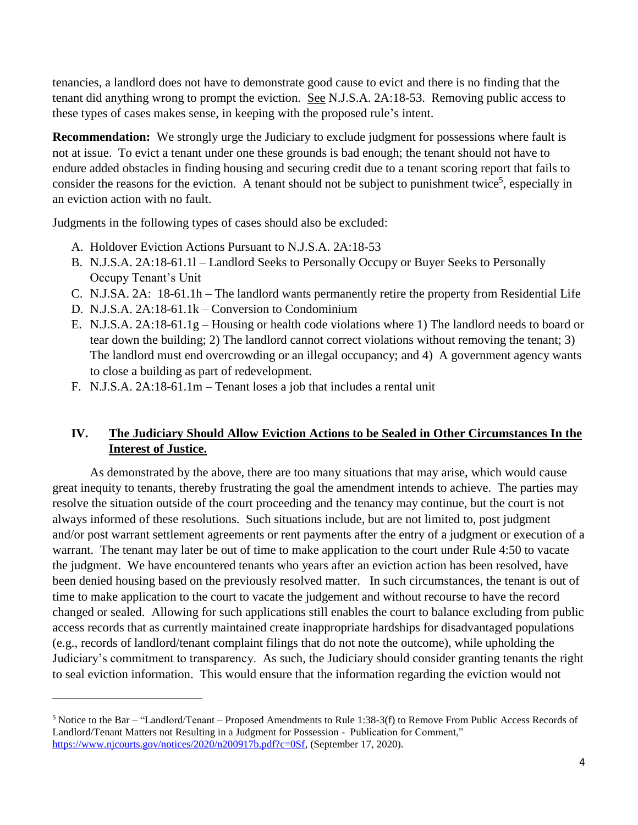tenancies, a landlord does not have to demonstrate good cause to evict and there is no finding that the tenant did anything wrong to prompt the eviction. See N.J.S.A. 2A:18-53. Removing public access to these types of cases makes sense, in keeping with the proposed rule's intent.

**Recommendation:** We strongly urge the Judiciary to exclude judgment for possessions where fault is not at issue. To evict a tenant under one these grounds is bad enough; the tenant should not have to endure added obstacles in finding housing and securing credit due to a tenant scoring report that fails to consider the reasons for the eviction. A tenant should not be subject to punishment twice<sup>5</sup>, especially in an eviction action with no fault.

Judgments in the following types of cases should also be excluded:

- A. Holdover Eviction Actions Pursuant to N.J.S.A. 2A:18-53
- B. N.J.S.A. 2A:18-61.1l Landlord Seeks to Personally Occupy or Buyer Seeks to Personally Occupy Tenant's Unit
- C. N.J.SA. 2A: 18-61.1h The landlord wants permanently retire the property from Residential Life
- D. N.J.S.A. 2A:18-61.1k Conversion to Condominium

 $\overline{a}$ 

- E. N.J.S.A. 2A:18-61.1g Housing or health code violations where 1) The landlord needs to board or tear down the building; 2) The landlord cannot correct violations without removing the tenant; 3) The landlord must end overcrowding or an illegal occupancy; and 4) A government agency wants to close a building as part of redevelopment.
- F. N.J.S.A. 2A:18-61.1m Tenant loses a job that includes a rental unit

## **IV. The Judiciary Should Allow Eviction Actions to be Sealed in Other Circumstances In the Interest of Justice.**

As demonstrated by the above, there are too many situations that may arise, which would cause great inequity to tenants, thereby frustrating the goal the amendment intends to achieve. The parties may resolve the situation outside of the court proceeding and the tenancy may continue, but the court is not always informed of these resolutions. Such situations include, but are not limited to, post judgment and/or post warrant settlement agreements or rent payments after the entry of a judgment or execution of a warrant. The tenant may later be out of time to make application to the court under Rule 4:50 to vacate the judgment. We have encountered tenants who years after an eviction action has been resolved, have been denied housing based on the previously resolved matter. In such circumstances, the tenant is out of time to make application to the court to vacate the judgement and without recourse to have the record changed or sealed. Allowing for such applications still enables the court to balance excluding from public access records that as currently maintained create inappropriate hardships for disadvantaged populations (e.g., records of landlord/tenant complaint filings that do not note the outcome), while upholding the Judiciary's commitment to transparency. As such, the Judiciary should consider granting tenants the right to seal eviction information. This would ensure that the information regarding the eviction would not

<sup>5</sup> Notice to the Bar – "Landlord/Tenant – Proposed Amendments to Rule 1:38-3(f) to Remove From Public Access Records of Landlord/Tenant Matters not Resulting in a Judgment for Possession - Publication for Comment," [https://www.njcourts.gov/notices/2020/n200917b.pdf?c=0Sf,](https://www.njcourts.gov/notices/2020/n200917b.pdf?c=0Sf) (September 17, 2020).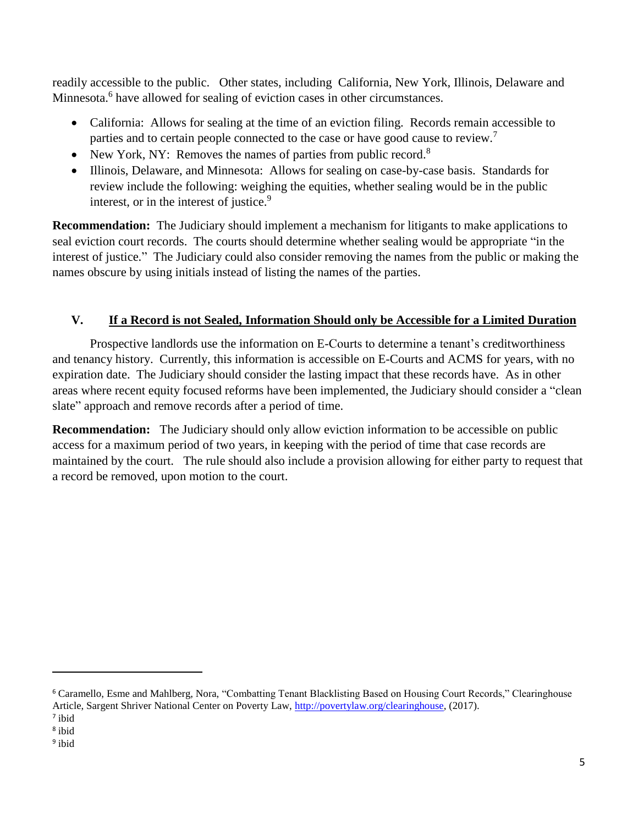readily accessible to the public. Other states, including California, New York, Illinois, Delaware and Minnesota.<sup>6</sup> have allowed for sealing of eviction cases in other circumstances.

- California: Allows for sealing at the time of an eviction filing. Records remain accessible to parties and to certain people connected to the case or have good cause to review.<sup>7</sup>
- New York, NY: Removes the names of parties from public record.<sup>8</sup>
- Illinois, Delaware, and Minnesota: Allows for sealing on case-by-case basis. Standards for review include the following: weighing the equities, whether sealing would be in the public interest, or in the interest of justice.<sup>9</sup>

**Recommendation:** The Judiciary should implement a mechanism for litigants to make applications to seal eviction court records. The courts should determine whether sealing would be appropriate "in the interest of justice." The Judiciary could also consider removing the names from the public or making the names obscure by using initials instead of listing the names of the parties.

# **V. If a Record is not Sealed, Information Should only be Accessible for a Limited Duration**

Prospective landlords use the information on E-Courts to determine a tenant's creditworthiness and tenancy history. Currently, this information is accessible on E-Courts and ACMS for years, with no expiration date. The Judiciary should consider the lasting impact that these records have. As in other areas where recent equity focused reforms have been implemented, the Judiciary should consider a "clean slate" approach and remove records after a period of time.

**Recommendation:** The Judiciary should only allow eviction information to be accessible on public access for a maximum period of two years, in keeping with the period of time that case records are maintained by the court. The rule should also include a provision allowing for either party to request that a record be removed, upon motion to the court.

<sup>6</sup> Caramello, Esme and Mahlberg, Nora, "Combatting Tenant Blacklisting Based on Housing Court Records," Clearinghouse Article, Sargent Shriver National Center on Poverty Law, [http://povertylaw.org/clearinghouse,](http://povertylaw.org/clearinghouse) (2017).

<sup>7</sup> ibid

<sup>8</sup> ibid

<sup>&</sup>lt;sup>9</sup> ibid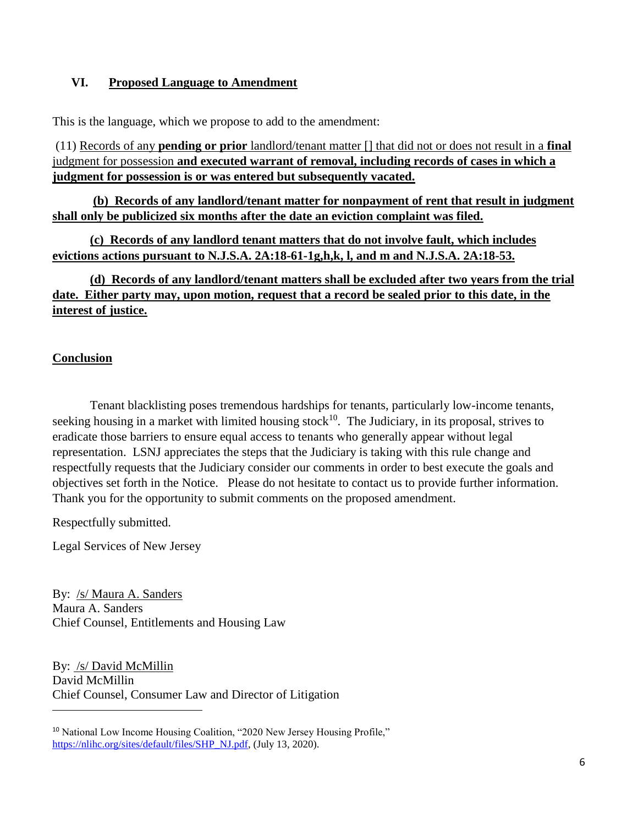#### **VI. Proposed Language to Amendment**

This is the language, which we propose to add to the amendment:

(11) Records of any **pending or prior** landlord/tenant matter [] that did not or does not result in a **final**  judgment for possession **and executed warrant of removal, including records of cases in which a judgment for possession is or was entered but subsequently vacated.**

**(b) Records of any landlord/tenant matter for nonpayment of rent that result in judgment shall only be publicized six months after the date an eviction complaint was filed.** 

**(c) Records of any landlord tenant matters that do not involve fault, which includes evictions actions pursuant to N.J.S.A. 2A:18-61-1g,h,k, l, and m and N.J.S.A. 2A:18-53.** 

**(d) Records of any landlord/tenant matters shall be excluded after two years from the trial date. Either party may, upon motion, request that a record be sealed prior to this date, in the interest of justice.**

### **Conclusion**

Tenant blacklisting poses tremendous hardships for tenants, particularly low-income tenants, seeking housing in a market with limited housing stock<sup>10</sup>. The Judiciary, in its proposal, strives to eradicate those barriers to ensure equal access to tenants who generally appear without legal representation. LSNJ appreciates the steps that the Judiciary is taking with this rule change and respectfully requests that the Judiciary consider our comments in order to best execute the goals and objectives set forth in the Notice. Please do not hesitate to contact us to provide further information. Thank you for the opportunity to submit comments on the proposed amendment.

Respectfully submitted.

 $\overline{a}$ 

Legal Services of New Jersey

By: /s/ Maura A. Sanders Maura A. Sanders Chief Counsel, Entitlements and Housing Law

By: /s/ David McMillin David McMillin Chief Counsel, Consumer Law and Director of Litigation

<sup>&</sup>lt;sup>10</sup> National Low Income Housing Coalition, "2020 New Jersey Housing Profile," [https://nlihc.org/sites/default/files/SHP\\_NJ.pdf,](https://nlihc.org/sites/default/files/SHP_NJ.pdf) (July 13, 2020).